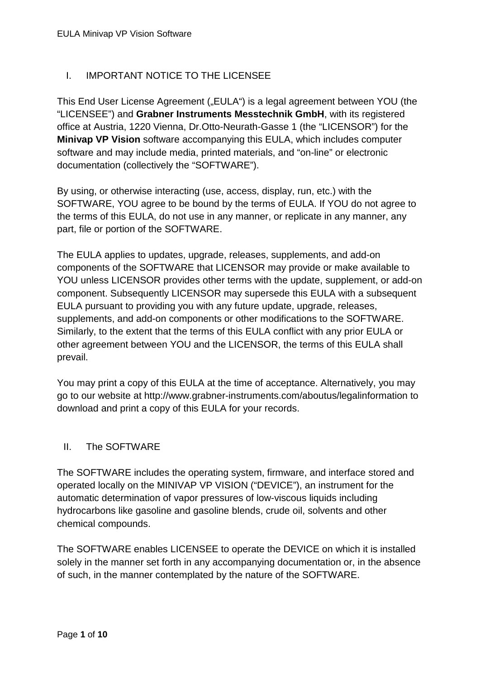# I. IMPORTANT NOTICE TO THE LICENSEE

This End User License Agreement ("EULA") is a legal agreement between YOU (the "LICENSEE") and **Grabner Instruments Messtechnik GmbH**, with its registered office at Austria, 1220 Vienna, Dr.Otto-Neurath-Gasse 1 (the "LICENSOR") for the **Minivap VP Vision** software accompanying this EULA, which includes computer software and may include media, printed materials, and "on-line" or electronic documentation (collectively the "SOFTWARE").

By using, or otherwise interacting (use, access, display, run, etc.) with the SOFTWARE, YOU agree to be bound by the terms of EULA. If YOU do not agree to the terms of this EULA, do not use in any manner, or replicate in any manner, any part, file or portion of the SOFTWARE.

The EULA applies to updates, upgrade, releases, supplements, and add-on components of the SOFTWARE that LICENSOR may provide or make available to YOU unless LICENSOR provides other terms with the update, supplement, or add-on component. Subsequently LICENSOR may supersede this EULA with a subsequent EULA pursuant to providing you with any future update, upgrade, releases, supplements, and add-on components or other modifications to the SOFTWARE. Similarly, to the extent that the terms of this EULA conflict with any prior EULA or other agreement between YOU and the LICENSOR, the terms of this EULA shall prevail.

You may print a copy of this EULA at the time of acceptance. Alternatively, you may go to our website at http://www.grabner-instruments.com/aboutus/legalinformation to download and print a copy of this EULA for your records.

### II. The SOFTWARE

The SOFTWARE includes the operating system, firmware, and interface stored and operated locally on the MINIVAP VP VISION ("DEVICE"), an instrument for the automatic determination of vapor pressures of low-viscous liquids including hydrocarbons like gasoline and gasoline blends, crude oil, solvents and other chemical compounds.

The SOFTWARE enables LICENSEE to operate the DEVICE on which it is installed solely in the manner set forth in any accompanying documentation or, in the absence of such, in the manner contemplated by the nature of the SOFTWARE.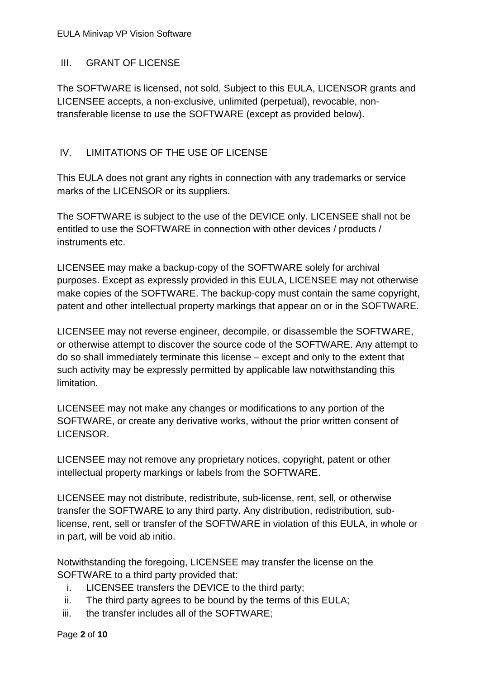### EULA Minivap VP Vision Software

### III. GRANT OF LICENSE

The SOFTWARE is licensed, not sold. Subject to this EULA, LICENSOR grants and LICENSEE accepts, a non-exclusive, unlimited (perpetual), revocable, nontransferable license to use the SOFTWARE (except as provided below).

# IV. LIMITATIONS OF THE USE OF LICENSE

This EULA does not grant any rights in connection with any trademarks or service marks of the LICENSOR or its suppliers.

The SOFTWARE is subject to the use of the DEVICE only. LICENSEE shall not be entitled to use the SOFTWARE in connection with other devices / products / instruments etc.

LICENSEE may make a backup-copy of the SOFTWARE solely for archival purposes. Except as expressly provided in this EULA, LICENSEE may not otherwise make copies of the SOFTWARE. The backup-copy must contain the same copyright, patent and other intellectual property markings that appear on or in the SOFTWARE.

LICENSEE may not reverse engineer, decompile, or disassemble the SOFTWARE, or otherwise attempt to discover the source code of the SOFTWARE. Any attempt to do so shall immediately terminate this license – except and only to the extent that such activity may be expressly permitted by applicable law notwithstanding this limitation.

LICENSEE may not make any changes or modifications to any portion of the SOFTWARE, or create any derivative works, without the prior written consent of LICENSOR.

LICENSEE may not remove any proprietary notices, copyright, patent or other intellectual property markings or labels from the SOFTWARE.

LICENSEE may not distribute, redistribute, sub-license, rent, sell, or otherwise transfer the SOFTWARE to any third party. Any distribution, redistribution, sublicense, rent, sell or transfer of the SOFTWARE in violation of this EULA, in whole or in part, will be void ab initio.

Notwithstanding the foregoing, LICENSEE may transfer the license on the SOFTWARE to a third party provided that:

- i. LICENSEE transfers the DEVICE to the third party;
- ii. The third party agrees to be bound by the terms of this EULA;
- iii. the transfer includes all of the SOFTWARE;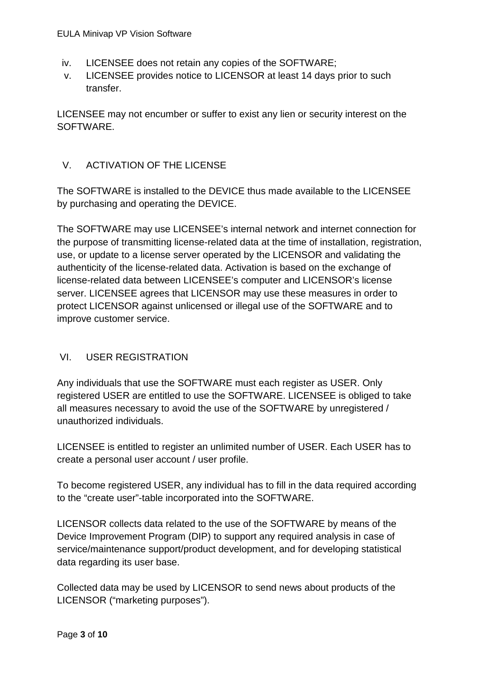- iv. LICENSEE does not retain any copies of the SOFTWARE;
- v. LICENSEE provides notice to LICENSOR at least 14 days prior to such transfer.

LICENSEE may not encumber or suffer to exist any lien or security interest on the SOFTWARE.

# V. ACTIVATION OF THE LICENSE

The SOFTWARE is installed to the DEVICE thus made available to the LICENSEE by purchasing and operating the DEVICE.

The SOFTWARE may use LICENSEE's internal network and internet connection for the purpose of transmitting license-related data at the time of installation, registration, use, or update to a license server operated by the LICENSOR and validating the authenticity of the license-related data. Activation is based on the exchange of license-related data between LICENSEE's computer and LICENSOR's license server. LICENSEE agrees that LICENSOR may use these measures in order to protect LICENSOR against unlicensed or illegal use of the SOFTWARE and to improve customer service.

# VI. USER REGISTRATION

Any individuals that use the SOFTWARE must each register as USER. Only registered USER are entitled to use the SOFTWARE. LICENSEE is obliged to take all measures necessary to avoid the use of the SOFTWARE by unregistered / unauthorized individuals.

LICENSEE is entitled to register an unlimited number of USER. Each USER has to create a personal user account / user profile.

To become registered USER, any individual has to fill in the data required according to the "create user"-table incorporated into the SOFTWARE.

LICENSOR collects data related to the use of the SOFTWARE by means of the Device Improvement Program (DIP) to support any required analysis in case of service/maintenance support/product development, and for developing statistical data regarding its user base.

Collected data may be used by LICENSOR to send news about products of the LICENSOR ("marketing purposes").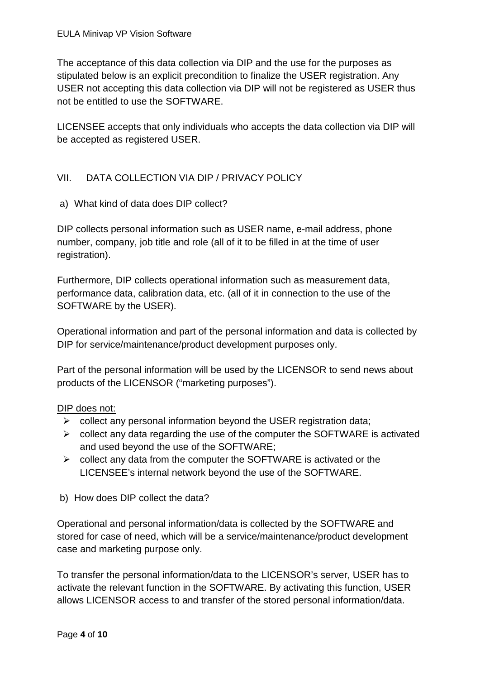The acceptance of this data collection via DIP and the use for the purposes as stipulated below is an explicit precondition to finalize the USER registration. Any USER not accepting this data collection via DIP will not be registered as USER thus not be entitled to use the SOFTWARE.

LICENSEE accepts that only individuals who accepts the data collection via DIP will be accepted as registered USER.

# VII. DATA COLLECTION VIA DIP / PRIVACY POLICY

a) What kind of data does DIP collect?

DIP collects personal information such as USER name, e-mail address, phone number, company, job title and role (all of it to be filled in at the time of user registration).

Furthermore, DIP collects operational information such as measurement data, performance data, calibration data, etc. (all of it in connection to the use of the SOFTWARE by the USER).

Operational information and part of the personal information and data is collected by DIP for service/maintenance/product development purposes only.

Part of the personal information will be used by the LICENSOR to send news about products of the LICENSOR ("marketing purposes").

# DIP does not:

- $\triangleright$  collect any personal information beyond the USER registration data;
- $\triangleright$  collect any data regarding the use of the computer the SOFTWARE is activated and used beyond the use of the SOFTWARE;
- $\triangleright$  collect any data from the computer the SOFTWARE is activated or the LICENSEE's internal network beyond the use of the SOFTWARE.
- b) How does DIP collect the data?

Operational and personal information/data is collected by the SOFTWARE and stored for case of need, which will be a service/maintenance/product development case and marketing purpose only.

To transfer the personal information/data to the LICENSOR's server, USER has to activate the relevant function in the SOFTWARE. By activating this function, USER allows LICENSOR access to and transfer of the stored personal information/data.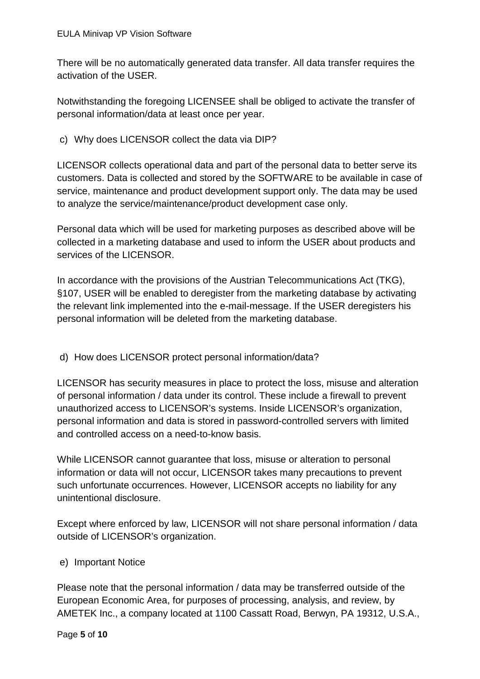There will be no automatically generated data transfer. All data transfer requires the activation of the USER.

Notwithstanding the foregoing LICENSEE shall be obliged to activate the transfer of personal information/data at least once per year.

c) Why does LICENSOR collect the data via DIP?

LICENSOR collects operational data and part of the personal data to better serve its customers. Data is collected and stored by the SOFTWARE to be available in case of service, maintenance and product development support only. The data may be used to analyze the service/maintenance/product development case only.

Personal data which will be used for marketing purposes as described above will be collected in a marketing database and used to inform the USER about products and services of the LICENSOR.

In accordance with the provisions of the Austrian Telecommunications Act (TKG), §107, USER will be enabled to deregister from the marketing database by activating the relevant link implemented into the e-mail-message. If the USER deregisters his personal information will be deleted from the marketing database.

# d) How does LICENSOR protect personal information/data?

LICENSOR has security measures in place to protect the loss, misuse and alteration of personal information / data under its control. These include a firewall to prevent unauthorized access to LICENSOR's systems. Inside LICENSOR's organization, personal information and data is stored in password-controlled servers with limited and controlled access on a need-to-know basis.

While LICENSOR cannot guarantee that loss, misuse or alteration to personal information or data will not occur, LICENSOR takes many precautions to prevent such unfortunate occurrences. However, LICENSOR accepts no liability for any unintentional disclosure.

Except where enforced by law, LICENSOR will not share personal information / data outside of LICENSOR's organization.

# e) Important Notice

Please note that the personal information / data may be transferred outside of the European Economic Area, for purposes of processing, analysis, and review, by AMETEK Inc., a company located at 1100 Cassatt Road, Berwyn, PA 19312, U.S.A.,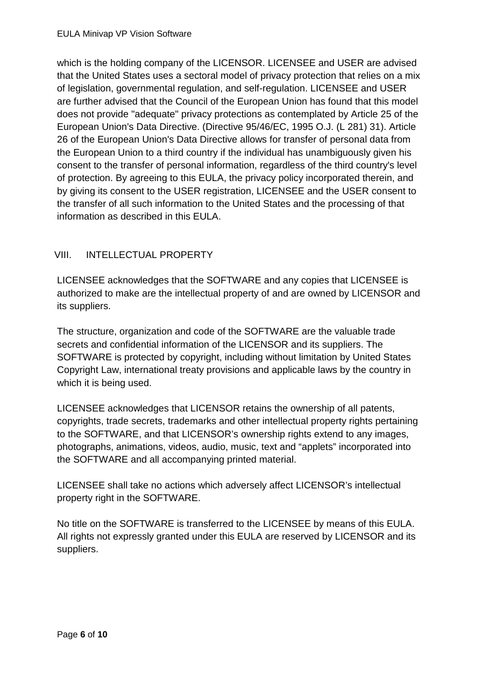which is the holding company of the LICENSOR. LICENSEE and USER are advised that the United States uses a sectoral model of privacy protection that relies on a mix of legislation, governmental regulation, and self-regulation. LICENSEE and USER are further advised that the Council of the European Union has found that this model does not provide "adequate" privacy protections as contemplated by Article 25 of the European Union's Data Directive. (Directive 95/46/EC, 1995 O.J. (L 281) 31). Article 26 of the European Union's Data Directive allows for transfer of personal data from the European Union to a third country if the individual has unambiguously given his consent to the transfer of personal information, regardless of the third country's level of protection. By agreeing to this EULA, the privacy policy incorporated therein, and by giving its consent to the USER registration, LICENSEE and the USER consent to the transfer of all such information to the United States and the processing of that information as described in this EULA.

# VIII. INTELLECTUAL PROPERTY

LICENSEE acknowledges that the SOFTWARE and any copies that LICENSEE is authorized to make are the intellectual property of and are owned by LICENSOR and its suppliers.

The structure, organization and code of the SOFTWARE are the valuable trade secrets and confidential information of the LICENSOR and its suppliers. The SOFTWARE is protected by copyright, including without limitation by United States Copyright Law, international treaty provisions and applicable laws by the country in which it is being used.

LICENSEE acknowledges that LICENSOR retains the ownership of all patents, copyrights, trade secrets, trademarks and other intellectual property rights pertaining to the SOFTWARE, and that LICENSOR's ownership rights extend to any images, photographs, animations, videos, audio, music, text and "applets" incorporated into the SOFTWARE and all accompanying printed material.

LICENSEE shall take no actions which adversely affect LICENSOR's intellectual property right in the SOFTWARE.

No title on the SOFTWARE is transferred to the LICENSEE by means of this EULA. All rights not expressly granted under this EULA are reserved by LICENSOR and its suppliers.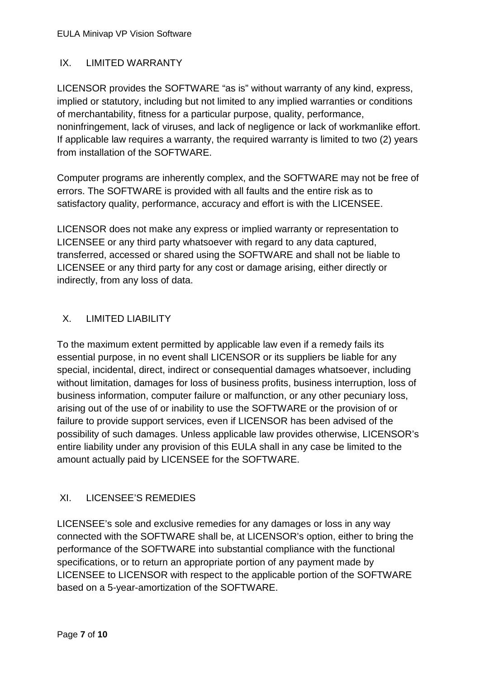# IX. LIMITED WARRANTY

LICENSOR provides the SOFTWARE "as is" without warranty of any kind, express, implied or statutory, including but not limited to any implied warranties or conditions of merchantability, fitness for a particular purpose, quality, performance, noninfringement, lack of viruses, and lack of negligence or lack of workmanlike effort. If applicable law requires a warranty, the required warranty is limited to two (2) years from installation of the SOFTWARE.

Computer programs are inherently complex, and the SOFTWARE may not be free of errors. The SOFTWARE is provided with all faults and the entire risk as to satisfactory quality, performance, accuracy and effort is with the LICENSEE.

LICENSOR does not make any express or implied warranty or representation to LICENSEE or any third party whatsoever with regard to any data captured, transferred, accessed or shared using the SOFTWARE and shall not be liable to LICENSEE or any third party for any cost or damage arising, either directly or indirectly, from any loss of data.

# X. LIMITED LIABILITY

To the maximum extent permitted by applicable law even if a remedy fails its essential purpose, in no event shall LICENSOR or its suppliers be liable for any special, incidental, direct, indirect or consequential damages whatsoever, including without limitation, damages for loss of business profits, business interruption, loss of business information, computer failure or malfunction, or any other pecuniary loss, arising out of the use of or inability to use the SOFTWARE or the provision of or failure to provide support services, even if LICENSOR has been advised of the possibility of such damages. Unless applicable law provides otherwise, LICENSOR's entire liability under any provision of this EULA shall in any case be limited to the amount actually paid by LICENSEE for the SOFTWARE.

# XI. LICENSEE'S REMEDIES

LICENSEE's sole and exclusive remedies for any damages or loss in any way connected with the SOFTWARE shall be, at LICENSOR's option, either to bring the performance of the SOFTWARE into substantial compliance with the functional specifications, or to return an appropriate portion of any payment made by LICENSEE to LICENSOR with respect to the applicable portion of the SOFTWARE based on a 5-year-amortization of the SOFTWARE.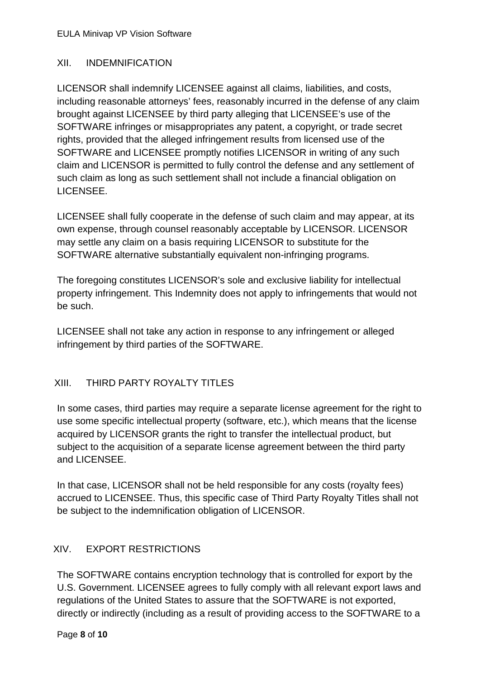### XII. INDEMNIFICATION

LICENSOR shall indemnify LICENSEE against all claims, liabilities, and costs, including reasonable attorneys' fees, reasonably incurred in the defense of any claim brought against LICENSEE by third party alleging that LICENSEE's use of the SOFTWARE infringes or misappropriates any patent, a copyright, or trade secret rights, provided that the alleged infringement results from licensed use of the SOFTWARE and LICENSEE promptly notifies LICENSOR in writing of any such claim and LICENSOR is permitted to fully control the defense and any settlement of such claim as long as such settlement shall not include a financial obligation on LICENSEE.

LICENSEE shall fully cooperate in the defense of such claim and may appear, at its own expense, through counsel reasonably acceptable by LICENSOR. LICENSOR may settle any claim on a basis requiring LICENSOR to substitute for the SOFTWARE alternative substantially equivalent non-infringing programs.

The foregoing constitutes LICENSOR's sole and exclusive liability for intellectual property infringement. This Indemnity does not apply to infringements that would not be such.

LICENSEE shall not take any action in response to any infringement or alleged infringement by third parties of the SOFTWARE.

# XIII. THIRD PARTY ROYALTY TITLES

In some cases, third parties may require a separate license agreement for the right to use some specific intellectual property (software, etc.), which means that the license acquired by LICENSOR grants the right to transfer the intellectual product, but subject to the acquisition of a separate license agreement between the third party and LICENSEE.

In that case, LICENSOR shall not be held responsible for any costs (royalty fees) accrued to LICENSEE. Thus, this specific case of Third Party Royalty Titles shall not be subject to the indemnification obligation of LICENSOR.

# XIV. EXPORT RESTRICTIONS

The SOFTWARE contains encryption technology that is controlled for export by the U.S. Government. LICENSEE agrees to fully comply with all relevant export laws and regulations of the United States to assure that the SOFTWARE is not exported, directly or indirectly (including as a result of providing access to the SOFTWARE to a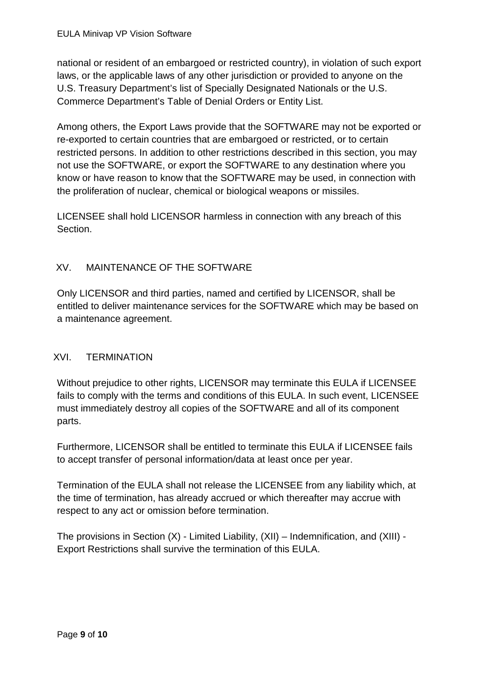national or resident of an embargoed or restricted country), in violation of such export laws, or the applicable laws of any other jurisdiction or provided to anyone on the U.S. Treasury Department's list of Specially Designated Nationals or the U.S. Commerce Department's Table of Denial Orders or Entity List.

Among others, the Export Laws provide that the SOFTWARE may not be exported or re-exported to certain countries that are embargoed or restricted, or to certain restricted persons. In addition to other restrictions described in this section, you may not use the SOFTWARE, or export the SOFTWARE to any destination where you know or have reason to know that the SOFTWARE may be used, in connection with the proliferation of nuclear, chemical or biological weapons or missiles.

LICENSEE shall hold LICENSOR harmless in connection with any breach of this Section.

# XV. MAINTENANCE OF THE SOFTWARE

Only LICENSOR and third parties, named and certified by LICENSOR, shall be entitled to deliver maintenance services for the SOFTWARE which may be based on a maintenance agreement.

# XVI. TERMINATION

Without prejudice to other rights, LICENSOR may terminate this EULA if LICENSEE fails to comply with the terms and conditions of this EULA. In such event, LICENSEE must immediately destroy all copies of the SOFTWARE and all of its component parts.

Furthermore, LICENSOR shall be entitled to terminate this EULA if LICENSEE fails to accept transfer of personal information/data at least once per year.

Termination of the EULA shall not release the LICENSEE from any liability which, at the time of termination, has already accrued or which thereafter may accrue with respect to any act or omission before termination.

The provisions in Section (X) - Limited Liability, (XII) – Indemnification, and (XIII) - Export Restrictions shall survive the termination of this EULA.